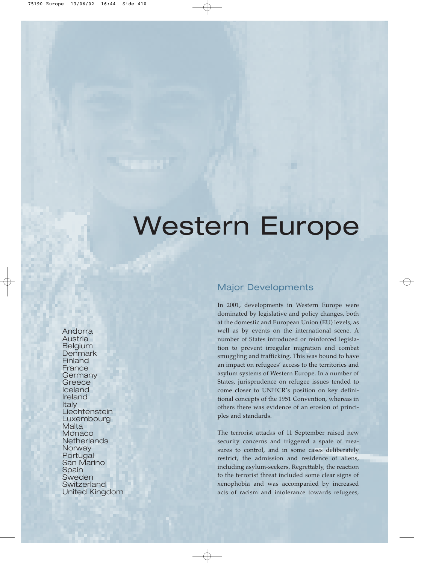# Western Europe

Andorra Austria **Belgium Denmark** Finland France **Germany Greece** Iceland Ireland Italy **Liechtenstein** Luxembourg **Malta Monaco Netherlands Norway** Portugal San Marino **Spain** Sweden **Switzerland** United Kingdom

## Major Developments

In 2001, developments in Western Europe were dominated by legislative and policy changes, both at the domestic and European Union (EU) levels, as well as by events on the international scene. A number of States introduced or reinforced legislation to prevent irregular migration and combat smuggling and trafficking. This was bound to have an impact on refugees' access to the territories and asylum systems of Western Europe. In a number of States, jurisprudence on refugee issues tended to come closer to UNHCR's position on key definitional concepts of the 1951 Convention, whereas in others there was evidence of an erosion of principles and standards.

The terrorist attacks of 11 September raised new security concerns and triggered a spate of measures to control, and in some cases deliberately restrict, the admission and residence of aliens, including asylum-seekers. Regrettably, the reaction to the terrorist threat included some clear signs of xenophobia and was accompanied by increased acts of racism and intolerance towards refugees,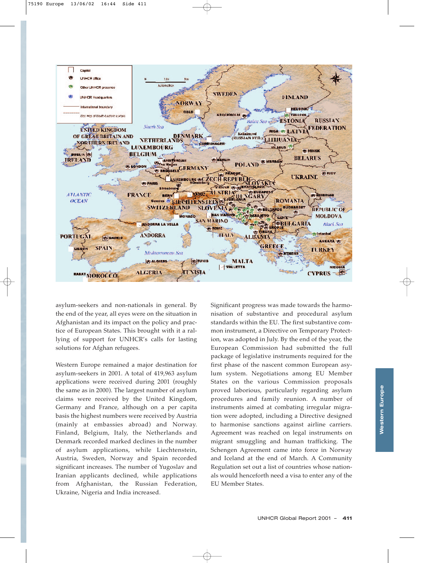

asylum-seekers and non-nationals in general. By the end of the year, all eyes were on the situation in Afghanistan and its impact on the policy and practice of European States. This brought with it a rallying of support for UNHCR's calls for lasting solutions for Afghan refugees.

Western Europe remained a major destination for asylum-seekers in 2001. A total of 419,963 asylum applications were received during 2001 (roughly the same as in 2000). The largest number of asylum claims were received by the United Kingdom, Germany and France, although on a per capita basis the highest numbers were received by Austria (mainly at embassies abroad) and Norway. Finland, Belgium, Italy, the Netherlands and Denmark recorded marked declines in the number of asylum applications, while Liechtenstein, Austria, Sweden, Norway and Spain recorded significant increases. The number of Yugoslav and Iranian applicants declined, while applications from Afghanistan, the Russian Federation, Ukraine, Nigeria and India increased.

Significant progress was made towards the harmonisation of substantive and procedural asylum standards within the EU. The first substantive common instrument, a Directive on Temporary Protection, was adopted in July. By the end of the year, the European Commission had submitted the full package of legislative instruments required for the first phase of the nascent common European asylum system. Negotiations among EU Member States on the various Commission proposals proved laborious, particularly regarding asylum procedures and family reunion. A number of instruments aimed at combating irregular migration were adopted, including a Directive designed to harmonise sanctions against airline carriers. Agreement was reached on legal instruments on migrant smuggling and human trafficking. The Schengen Agreement came into force in Norway and Iceland at the end of March. A Community Regulation set out a list of countries whose nationals would henceforth need a visa to enter any of the EU Member States.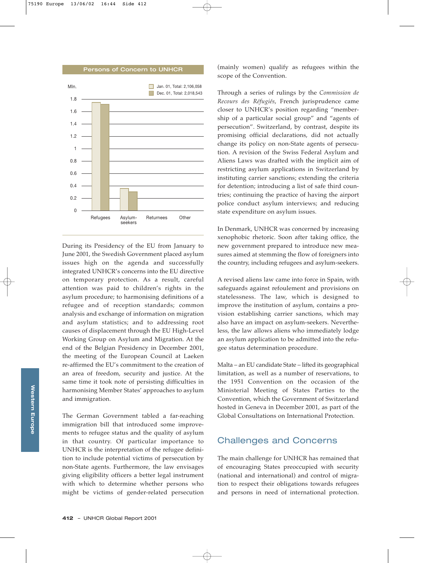

During its Presidency of the EU from January to June 2001, the Swedish Government placed asylum issues high on the agenda and successfully integrated UNHCR's concerns into the EU directive on temporary protection. As a result, careful attention was paid to children's rights in the asylum procedure; to harmonising definitions of a refugee and of reception standards; common analysis and exchange of information on migration and asylum statistics; and to addressing root causes of displacement through the EU High-Level Working Group on Asylum and Migration. At the end of the Belgian Presidency in December 2001, the meeting of the European Council at Laeken re-affirmed the EU's commitment to the creation of an area of freedom, security and justice. At the same time it took note of persisting difficulties in harmonising Member States' approaches to asylum and immigration.

The German Government tabled a far-reaching immigration bill that introduced some improvements to refugee status and the quality of asylum in that country. Of particular importance to UNHCR is the interpretation of the refugee definition to include potential victims of persecution by non-State agents. Furthermore, the law envisages giving eligibility officers a better legal instrument with which to determine whether persons who might be victims of gender-related persecution

(mainly women) qualify as refugees within the scope of the Convention.

Through a series of rulings by the *Commission de Recours des Réfugiés*, French jurisprudence came closer to UNHCR's position regarding "membership of a particular social group" and "agents of persecution". Switzerland, by contrast, despite its promising official declarations, did not actually change its policy on non-State agents of persecution. A revision of the Swiss Federal Asylum and Aliens Laws was drafted with the implicit aim of restricting asylum applications in Switzerland by instituting carrier sanctions; extending the criteria for detention; introducing a list of safe third countries; continuing the practice of having the airport police conduct asylum interviews; and reducing state expenditure on asylum issues.

In Denmark, UNHCR was concerned by increasing xenophobic rhetoric. Soon after taking office, the new government prepared to introduce new measures aimed at stemming the flow of foreigners into the country, including refugees and asylum-seekers.

A revised aliens law came into force in Spain, with safeguards against refoulement and provisions on statelessness. The law, which is designed to improve the institution of asylum, contains a provision establishing carrier sanctions, which may also have an impact on asylum-seekers. Nevertheless, the law allows aliens who immediately lodge an asylum application to be admitted into the refugee status determination procedure.

Malta – an EU candidate State – lifted its geographical limitation, as well as a number of reservations, to the 1951 Convention on the occasion of the Ministerial Meeting of States Parties to the Convention, which the Government of Switzerland hosted in Geneva in December 2001, as part of the Global Consultations on International Protection.

## Challenges and Concerns

The main challenge for UNHCR has remained that of encouraging States preoccupied with security (national and international) and control of migration to respect their obligations towards refugees and persons in need of international protection.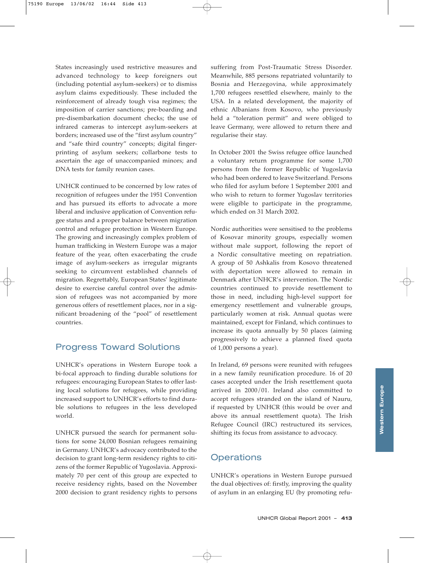States increasingly used restrictive measures and advanced technology to keep foreigners out (including potential asylum-seekers) or to dismiss asylum claims expeditiously. These included the reinforcement of already tough visa regimes; the imposition of carrier sanctions; pre-boarding and pre-disembarkation document checks; the use of infrared cameras to intercept asylum-seekers at borders; increased use of the "first asylum country" and "safe third country" concepts; digital fingerprinting of asylum seekers; collarbone tests to ascertain the age of unaccompanied minors; and DNA tests for family reunion cases.

UNHCR continued to be concerned by low rates of recognition of refugees under the 1951 Convention and has pursued its efforts to advocate a more liberal and inclusive application of Convention refugee status and a proper balance between migration control and refugee protection in Western Europe. The growing and increasingly complex problem of human trafficking in Western Europe was a major feature of the year, often exacerbating the crude image of asylum-seekers as irregular migrants seeking to circumvent established channels of migration. Regrettably, European States' legitimate desire to exercise careful control over the admission of refugees was not accompanied by more generous offers of resettlement places, nor in a significant broadening of the "pool" of resettlement countries.

# Progress Toward Solutions

UNHCR's operations in Western Europe took a bi-focal approach to finding durable solutions for refugees: encouraging European States to offer lasting local solutions for refugees, while providing increased support to UNHCR's efforts to find durable solutions to refugees in the less developed world.

UNHCR pursued the search for permanent solutions for some 24,000 Bosnian refugees remaining in Germany. UNHCR's advocacy contributed to the decision to grant long-term residency rights to citizens of the former Republic of Yugoslavia. Approximately 70 per cent of this group are expected to receive residency rights, based on the November 2000 decision to grant residency rights to persons

suffering from Post-Traumatic Stress Disorder. Meanwhile, 885 persons repatriated voluntarily to Bosnia and Herzegovina, while approximately 1,700 refugees resettled elsewhere, mainly to the USA. In a related development, the majority of ethnic Albanians from Kosovo, who previously held a "toleration permit" and were obliged to leave Germany, were allowed to return there and regularise their stay.

In October 2001 the Swiss refugee office launched a voluntary return programme for some 1,700 persons from the former Republic of Yugoslavia who had been ordered to leave Switzerland. Persons who filed for asylum before 1 September 2001 and who wish to return to former Yugoslav territories were eligible to participate in the programme, which ended on 31 March 2002.

Nordic authorities were sensitised to the problems of Kosovar minority groups, especially women without male support, following the report of a Nordic consultative meeting on repatriation. A group of 50 Ashkalis from Kosovo threatened with deportation were allowed to remain in Denmark after UNHCR's intervention. The Nordic countries continued to provide resettlement to those in need, including high-level support for emergency resettlement and vulnerable groups, particularly women at risk. Annual quotas were maintained, except for Finland, which continues to increase its quota annually by 50 places (aiming progressively to achieve a planned fixed quota of 1,000 persons a year).

In Ireland, 69 persons were reunited with refugees in a new family reunification procedure. 16 of 20 cases accepted under the Irish resettlement quota arrived in 2000/01. Ireland also committed to accept refugees stranded on the island of Nauru, if requested by UNHCR (this would be over and above its annual resettlement quota). The Irish Refugee Council (IRC) restructured its services, shifting its focus from assistance to advocacy.

# **Operations**

UNHCR's operations in Western Europe pursued the dual objectives of: firstly, improving the quality of asylum in an enlarging EU (by promoting refu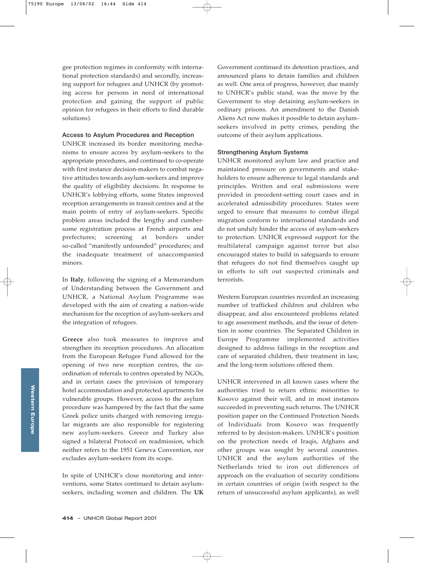gee protection regimes in conformity with international protection standards) and secondly, increasing support for refugees and UNHCR (by promoting access for persons in need of international protection and gaining the support of public opinion for refugees in their efforts to find durable solutions).

#### **Access to Asylum Procedures and Reception**

UNHCR increased its border monitoring mechanisms to ensure access by asylum-seekers to the appropriate procedures, and continued to co-operate with first instance decision-makers to combat negative attitudes towards asylum-seekers and improve the quality of eligibility decisions. In response to UNHCR's lobbying efforts, some States improved reception arrangements in transit centres and at the main points of entry of asylum-seekers. Specific problem areas included the lengthy and cumbersome registration process at French airports and prefectures; screening at borders under so-called "manifestly unfounded" procedures; and the inadequate treatment of unaccompanied minors.

In **Italy**, following the signing of a Memorandum of Understanding between the Government and UNHCR, a National Asylum Programme was developed with the aim of creating a nation-wide mechanism for the reception of asylum-seekers and the integration of refugees.

**Greece** also took measures to improve and strengthen its reception procedures. An allocation from the European Refugee Fund allowed for the opening of two new reception centres, the coordination of referrals to centres operated by NGOs, and in certain cases the provision of temporary hotel accommodation and protected apartments for vulnerable groups. However, access to the asylum procedure was hampered by the fact that the same Greek police units charged with removing irregular migrants are also responsible for registering new asylum-seekers. Greece and Turkey also signed a bilateral Protocol on readmission, which neither refers to the 1951 Geneva Convention, nor excludes asylum-seekers from its scope.

In spite of UNHCR's close monitoring and interventions, some States continued to detain asylumseekers, including women and children. The **UK** Government continued its detention practices, and announced plans to detain families and children as well. One area of progress, however, due mainly to UNHCR's public stand, was the move by the Government to stop detaining asylum-seekers in ordinary prisons. An amendment to the Danish Aliens Act now makes it possible to detain asylumseekers involved in petty crimes, pending the outcome of their asylum applications.

## **Strengthening Asylum Systems**

UNHCR monitored asylum law and practice and maintained pressure on governments and stakeholders to ensure adherence to legal standards and principles. Written and oral submissions were provided in precedent-setting court cases and in accelerated admissibility procedures. States were urged to ensure that measures to combat illegal migration conform to international standards and do not unduly hinder the access of asylum-seekers to protection. UNHCR expressed support for the multilateral campaign against terror but also encouraged states to build in safeguards to ensure that refugees do not find themselves caught up in efforts to sift out suspected criminals and terrorists.

Western European countries recorded an increasing number of trafficked children and children who disappear, and also encountered problems related to age assessment methods, and the issue of detention in some countries. The Separated Children in Europe Programme implemented activities designed to address failings in the reception and care of separated children, their treatment in law, and the long-term solutions offered them.

UNHCR intervened in all known cases where the authorities tried to return ethnic minorities to Kosovo against their will, and in most instances succeeded in preventing such returns. The UNHCR position paper on the Continued Protection Needs of Individuals from Kosovo was frequently referred to by decision-makers. UNHCR's position on the protection needs of Iraqis, Afghans and other groups was sought by several countries. UNHCR and the asylum authorities of the Netherlands tried to iron out differences of approach on the evaluation of security conditions in certain countries of origin (with respect to the return of unsuccessful asylum applicants), as well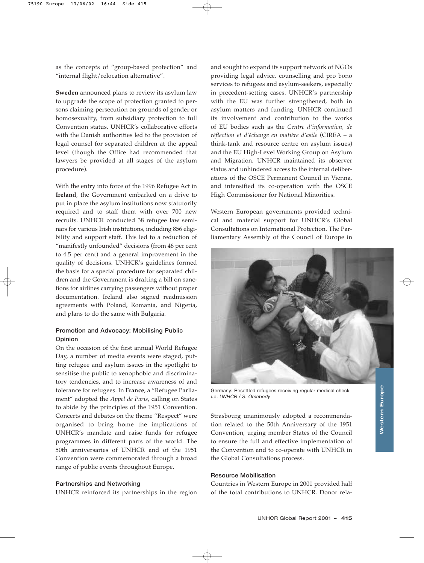as the concepts of "group-based protection" and "internal flight/relocation alternative".

**Sweden** announced plans to review its asylum law to upgrade the scope of protection granted to persons claiming persecution on grounds of gender or homosexuality, from subsidiary protection to full Convention status. UNHCR's collaborative efforts with the Danish authorities led to the provision of legal counsel for separated children at the appeal level (though the Office had recommended that lawyers be provided at all stages of the asylum procedure).

With the entry into force of the 1996 Refugee Act in **Ireland**, the Government embarked on a drive to put in place the asylum institutions now statutorily required and to staff them with over 700 new recruits. UNHCR conducted 38 refugee law seminars for various Irish institutions, including 856 eligibility and support staff. This led to a reduction of "manifestly unfounded" decisions (from 46 per cent to 4.5 per cent) and a general improvement in the quality of decisions. UNHCR's guidelines formed the basis for a special procedure for separated children and the Government is drafting a bill on sanctions for airlines carrying passengers without proper documentation. Ireland also signed readmission agreements with Poland, Romania, and Nigeria, and plans to do the same with Bulgaria.

## **Promotion and Advocacy: Mobilising Public Opinion**

On the occasion of the first annual World Refugee Day, a number of media events were staged, putting refugee and asylum issues in the spotlight to sensitise the public to xenophobic and discriminatory tendencies, and to increase awareness of and tolerance for refugees. In **France**, a "Refugee Parliament" adopted the *Appel de Paris*, calling on States to abide by the principles of the 1951 Convention. Concerts and debates on the theme "Respect" were organised to bring home the implications of UNHCR's mandate and raise funds for refugee programmes in different parts of the world. The 50th anniversaries of UNHCR and of the 1951 Convention were commemorated through a broad range of public events throughout Europe.

#### **Partnerships and Networking**

UNHCR reinforced its partnerships in the region

and sought to expand its support network of NGOs providing legal advice, counselling and pro bono services to refugees and asylum-seekers, especially in precedent-setting cases. UNHCR's partnership with the EU was further strengthened, both in asylum matters and funding. UNHCR continued its involvement and contribution to the works of EU bodies such as the *Centre d'information, de réflection et d'échange en matière d'asile* (CIREA – a think-tank and resource centre on asylum issues) and the EU High-Level Working Group on Asylum and Migration. UNHCR maintained its observer status and unhindered access to the internal deliberations of the OSCE Permanent Council in Vienna, and intensified its co-operation with the OSCE High Commissioner for National Minorities.

Western European governments provided technical and material support for UNHCR's Global Consultations on International Protection. The Parliamentary Assembly of the Council of Europe in



Germany: Resettled refugees receiving regular medical check up. *UNHCR / S. Omebody*

Strasbourg unanimously adopted a recommendation related to the 50th Anniversary of the 1951 Convention, urging member States of the Council to ensure the full and effective implementation of the Convention and to co-operate with UNHCR in the Global Consultations process.

#### **Resource Mobilisation**

Countries in Western Europe in 2001 provided half of the total contributions to UNHCR. Donor rela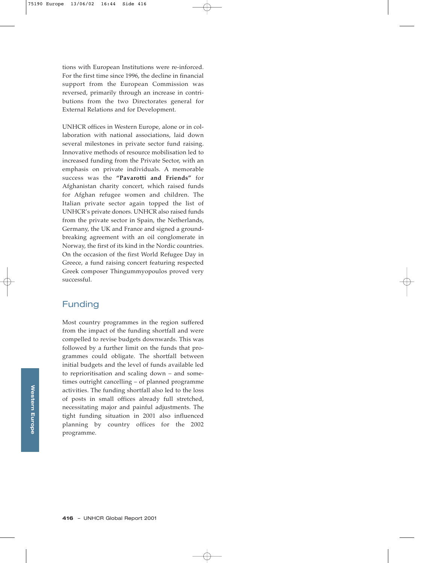tions with European Institutions were re-inforced. For the first time since 1996, the decline in financial support from the European Commission was reversed, primarily through an increase in contributions from the two Directorates general for External Relations and for Development.

UNHCR offices in Western Europe, alone or in collaboration with national associations, laid down several milestones in private sector fund raising. Innovative methods of resource mobilisation led to increased funding from the Private Sector, with an emphasis on private individuals. A memorable success was the **"Pavarotti and Friends"** for Afghanistan charity concert, which raised funds for Afghan refugee women and children. The Italian private sector again topped the list of UNHCR's private donors. UNHCR also raised funds from the private sector in Spain, the Netherlands, Germany, the UK and France and signed a groundbreaking agreement with an oil conglomerate in Norway, the first of its kind in the Nordic countries. On the occasion of the first World Refugee Day in Greece, a fund raising concert featuring respected Greek composer Thingummyopoulos proved very successful.

# Funding

Most country programmes in the region suffered from the impact of the funding shortfall and were compelled to revise budgets downwards. This was followed by a further limit on the funds that programmes could obligate. The shortfall between initial budgets and the level of funds available led to reprioritisation and scaling down – and sometimes outright cancelling – of planned programme activities. The funding shortfall also led to the loss of posts in small offices already full stretched, necessitating major and painful adjustments. The tight funding situation in 2001 also influenced planning by country offices for the 2002 programme.